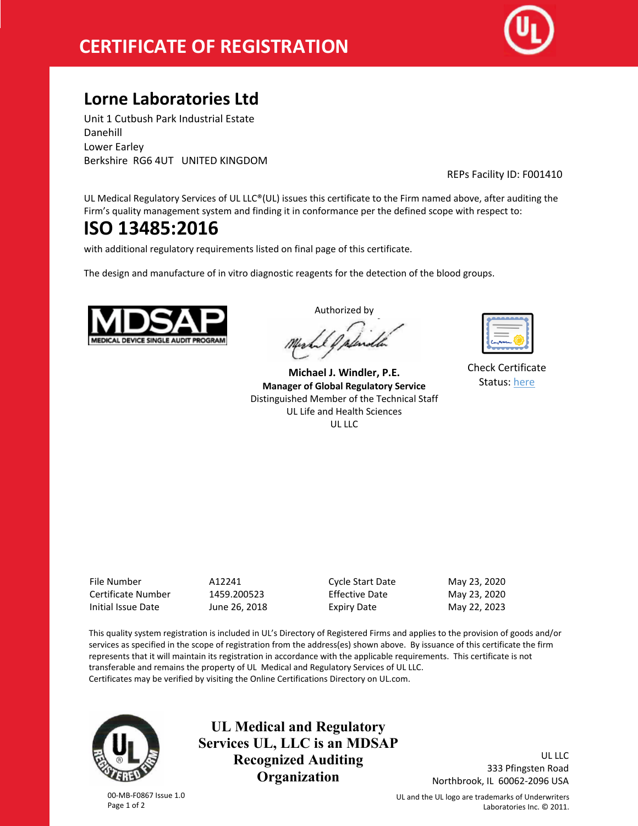# **CERTIFICATE OF REGISTRATION**



## **Lorne Laboratories Ltd**

Unit 1 Cutbush Park Industrial Estate Danehill Lower Earley Berkshire RG6 4UT UNITED KINGDOM

REPs Facility ID: F001410

UL Medical Regulatory Services of UL LLC®(UL) issues this certificate to the Firm named above, after auditing the Firm's quality management system and finding it in conformance per the defined scope with respect to:

## **ISO 13485:2016**

with additional regulatory requirements listed on final page of this certificate.

The design and manufacture of in vitro diagnostic reagents for the detection of the blood groups.



Authorized by

**Michael J. Windler, P.E. Manager of Global Regulatory Service** Distinguished Member of the Technical Staff UL Life and Health Sciences UL LLC

| ے |
|---|
|   |

Check Certificate Status: [here](http://database.ul.com/certs/AZBA.A12241.pdf)

| File Number        |
|--------------------|
| Certificate Number |
| Initial Issue Date |

File Number A12241 Cycle Start Date May 23, 2020 1459.200523 Effective Date May 23, 2020 June 26, 2018 **Expiry Date** May 22, 2023

This quality system registration is included in UL's Directory of Registered Firms and applies to the provision of goods and/or services as specified in the scope of registration from the address(es) shown above. By issuance of this certificate the firm represents that it will maintain its registration in accordance with the applicable requirements. This certificate is not transferable and remains the property of UL Medical and Regulatory Services of UL LLC. Certificates may be verified by visiting the Online Certifications Directory on UL.com.



00-MB-F0867 Issue 1.0 Page 1 of 2

**UL Medical and Regulatory Services UL, LLC is an MDSAP Recognized Auditing Organization**

UL LLC 333 Pfingsten Road Northbrook, IL 60062-2096 USA

UL and the UL logo are trademarks of Underwriters Laboratories Inc. © 2011.